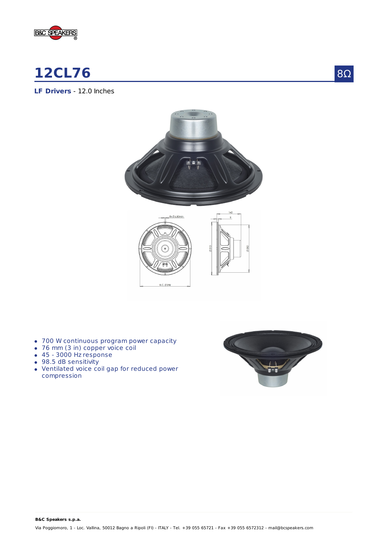

# **12CL76**

**LF Drivers** - 12.0 Inches





- 700 W continuous program power capacity
- 76 mm (3 in) copper voice coil
- 45 3000 Hz response
- 98.5 dB sensitivity
- Ventilated voice coil gap for reduced power compression



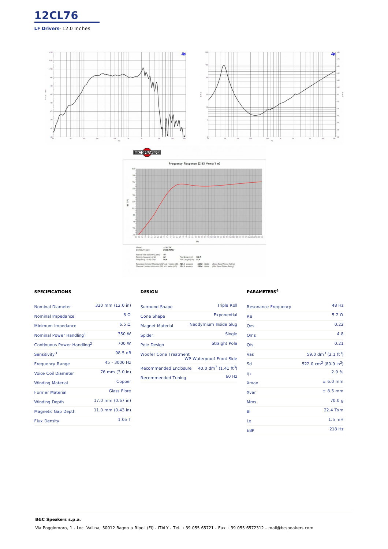





## **SPECIFICATIONS**

**B&C Speakers s.p.a.**

| <b>Nominal Diameter</b>                | 320 mm (12.0 in)    |
|----------------------------------------|---------------------|
| Nominal Impedance                      | 8 Q                 |
| Minimum Impedance                      | $6.5 \Omega$        |
| Nominal Power Handling <sup>1</sup>    | 350 W               |
| Continuous Power Handling <sup>2</sup> | 700 W               |
| Sensitivity <sup>3</sup>               | 98.5 dB             |
| <b>Frequency Range</b>                 | 45 - 3000 Hz        |
| <b>Voice Coil Diameter</b>             | 76 mm (3.0 in)      |
| <b>Winding Material</b>                | Copper              |
| <b>Former Material</b>                 | Glass Fibre         |
| <b>Winding Depth</b>                   | 17.0 mm (0.67 in)   |
| <b>Magnetic Gap Depth</b>              | 11.0 mm $(0.43$ in) |
| <b>Flux Density</b>                    | $1.05$ T            |

## **DESIGN**

| <b>Surround Shape</b>        | <b>Triple Roll</b>                  |
|------------------------------|-------------------------------------|
| Cone Shape                   | Exponential                         |
| <b>Magnet Material</b>       | Neodymium Inside Slug               |
| Spider                       | Single                              |
| <b>Pole Design</b>           | <b>Straight Pole</b>                |
| <b>Woofer Cone Treatment</b> | <b>WP Waterproof Front Side</b>     |
| Recommended Enclosure        | 40.0 $dm^3$ (1.41 ft <sup>3</sup> ) |
| <b>Recommended Tuning</b>    | 60 Hz                               |

#### **PARAMETERS 4**

| <b>Resonance Frequency</b> | 48 Hz                                         |
|----------------------------|-----------------------------------------------|
| Re                         | 5.2 $\Omega$                                  |
| Qes                        | 0.22                                          |
| Qms                        | 4.8                                           |
| Qts                        | 0.21                                          |
| Vas                        | 59.0 dm <sup>3</sup> (2.1 ft <sup>3</sup> )   |
| Sd                         | 522.0 cm <sup>2</sup> (80.9 in <sup>2</sup> ) |
| ηo                         | 2.9%                                          |
| <b>Xmax</b>                | ± 6.0 mm                                      |
| Xvar                       | $± 8.5$ mm                                    |
| Mms                        | 70.0 g                                        |
| BI                         | 22.4 Txm                                      |
| Le                         | $1.5$ mH                                      |
| <b>EBP</b>                 | 218 Hz                                        |